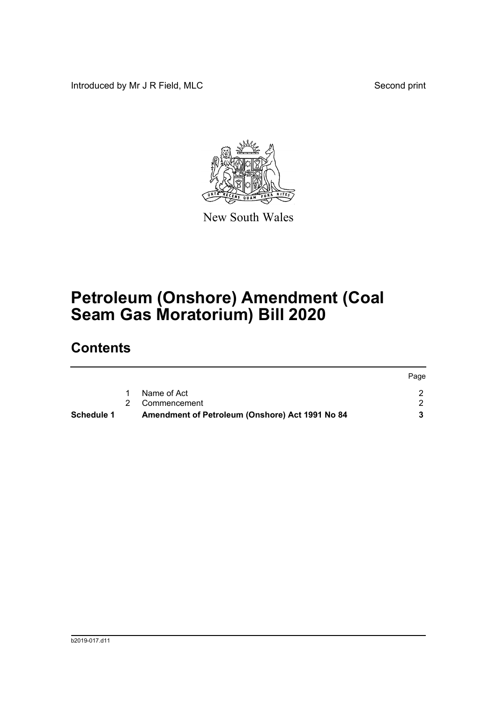Introduced by Mr J R Field, MLC Second print



New South Wales

# **Petroleum (Onshore) Amendment (Coal Seam Gas Moratorium) Bill 2020**

## **Contents**

| Schedule 1 | Amendment of Petroleum (Onshore) Act 1991 No 84 |      |
|------------|-------------------------------------------------|------|
|            | 2 Commencement                                  |      |
|            | Name of Act                                     |      |
|            |                                                 | Page |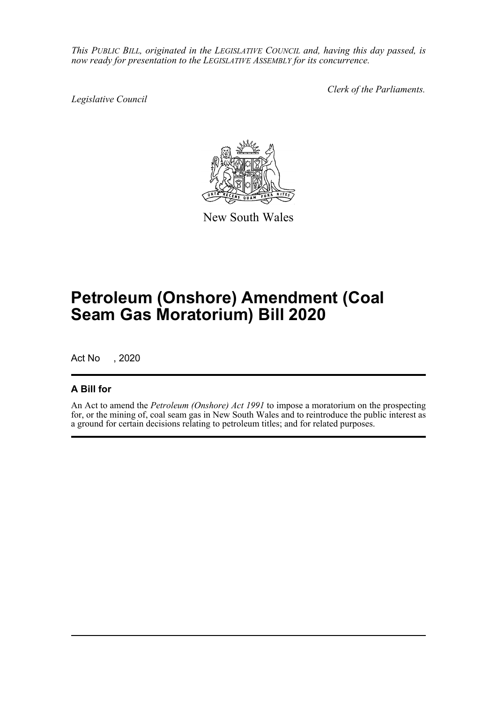*This PUBLIC BILL, originated in the LEGISLATIVE COUNCIL and, having this day passed, is now ready for presentation to the LEGISLATIVE ASSEMBLY for its concurrence.*

*Legislative Council*

*Clerk of the Parliaments.*



New South Wales

# **Petroleum (Onshore) Amendment (Coal Seam Gas Moratorium) Bill 2020**

Act No , 2020

## **A Bill for**

An Act to amend the *Petroleum (Onshore) Act 1991* to impose a moratorium on the prospecting for, or the mining of, coal seam gas in New South Wales and to reintroduce the public interest as a ground for certain decisions relating to petroleum titles; and for related purposes.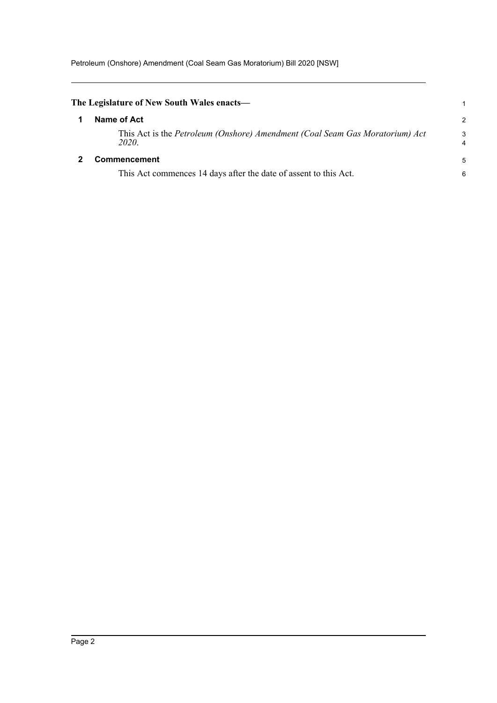<span id="page-2-1"></span><span id="page-2-0"></span>

| The Legislature of New South Wales enacts—                                            |        |
|---------------------------------------------------------------------------------------|--------|
| Name of Act                                                                           | 2      |
| This Act is the Petroleum (Onshore) Amendment (Coal Seam Gas Moratorium) Act<br>2020. | 3<br>4 |
| <b>Commencement</b>                                                                   | 5      |
| This Act commences 14 days after the date of assent to this Act.                      | 6      |
|                                                                                       |        |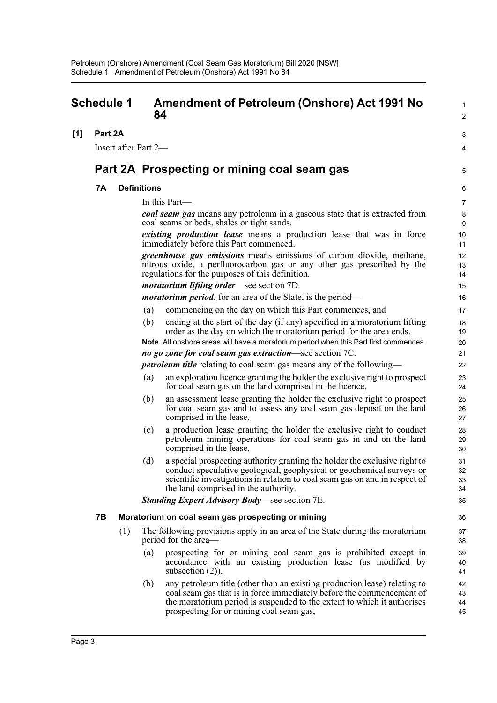<span id="page-3-0"></span>

|     | <b>Schedule 1</b> |                      |                    | <b>Amendment of Petroleum (Onshore) Act 1991 No</b><br>84                                                                                                                                                                                                                  | 1<br>$\overline{2}$  |
|-----|-------------------|----------------------|--------------------|----------------------------------------------------------------------------------------------------------------------------------------------------------------------------------------------------------------------------------------------------------------------------|----------------------|
| [1] | Part 2A           |                      |                    |                                                                                                                                                                                                                                                                            | 3                    |
|     |                   | Insert after Part 2- |                    |                                                                                                                                                                                                                                                                            | 4                    |
|     |                   |                      |                    | Part 2A Prospecting or mining coal seam gas                                                                                                                                                                                                                                | 5                    |
|     | 7Α                |                      | <b>Definitions</b> |                                                                                                                                                                                                                                                                            | 6                    |
|     |                   |                      |                    | In this Part-                                                                                                                                                                                                                                                              | $\overline{7}$       |
|     |                   |                      |                    | coal seam gas means any petroleum in a gaseous state that is extracted from<br>coal seams or beds, shales or tight sands.                                                                                                                                                  | 8<br>9               |
|     |                   |                      |                    | <i>existing production lease</i> means a production lease that was in force<br>immediately before this Part commenced.                                                                                                                                                     | 10<br>11             |
|     |                   |                      |                    | greenhouse gas emissions means emissions of carbon dioxide, methane,<br>nitrous oxide, a perfluorocarbon gas or any other gas prescribed by the<br>regulations for the purposes of this definition.                                                                        | 12<br>13<br>14       |
|     |                   |                      |                    | <i>moratorium lifting order</i> —see section 7D.                                                                                                                                                                                                                           | 15                   |
|     |                   |                      |                    | <i>moratorium period</i> , for an area of the State, is the period—                                                                                                                                                                                                        | 16                   |
|     |                   |                      | (a)                | commencing on the day on which this Part commences, and                                                                                                                                                                                                                    | 17                   |
|     |                   |                      | (b)                | ending at the start of the day (if any) specified in a moratorium lifting<br>order as the day on which the moratorium period for the area ends.                                                                                                                            | 18<br>19             |
|     |                   |                      |                    | Note. All onshore areas will have a moratorium period when this Part first commences.                                                                                                                                                                                      | 20                   |
|     |                   |                      |                    | no go zone for coal seam gas extraction—see section 7C.                                                                                                                                                                                                                    | 21                   |
|     |                   |                      |                    | <i>petroleum title</i> relating to coal seam gas means any of the following—                                                                                                                                                                                               | 22                   |
|     |                   |                      | (a)                | an exploration licence granting the holder the exclusive right to prospect<br>for coal seam gas on the land comprised in the licence,                                                                                                                                      | 23<br>24             |
|     |                   |                      | (b)                | an assessment lease granting the holder the exclusive right to prospect<br>for coal seam gas and to assess any coal seam gas deposit on the land<br>comprised in the lease,                                                                                                | 25<br>26<br>27       |
|     |                   |                      | (c)                | a production lease granting the holder the exclusive right to conduct<br>petroleum mining operations for coal seam gas in and on the land<br>comprised in the lease,                                                                                                       | 28<br>29<br>30       |
|     |                   |                      | (d)                | a special prospecting authority granting the holder the exclusive right to<br>conduct speculative geological, geophysical or geochemical surveys or<br>scientific investigations in relation to coal seam gas on and in respect of<br>the land comprised in the authority. | 31<br>32<br>33<br>34 |
|     |                   |                      |                    | <b>Standing Expert Advisory Body—see section 7E.</b>                                                                                                                                                                                                                       | 35                   |
|     | <b>7B</b>         |                      |                    | Moratorium on coal seam gas prospecting or mining                                                                                                                                                                                                                          | 36                   |
|     |                   | (1)                  |                    | The following provisions apply in an area of the State during the moratorium<br>period for the area—                                                                                                                                                                       | 37<br>38             |
|     |                   |                      | (a)                | prospecting for or mining coal seam gas is prohibited except in<br>accordance with an existing production lease (as modified by<br>subsection $(2)$ ),                                                                                                                     | 39<br>40<br>41       |
|     |                   |                      | (b)                | any petroleum title (other than an existing production lease) relating to<br>coal seam gas that is in force immediately before the commencement of<br>the moratorium period is suspended to the extent to which it authorises<br>prospecting for or mining coal seam gas,  | 42<br>43<br>44<br>45 |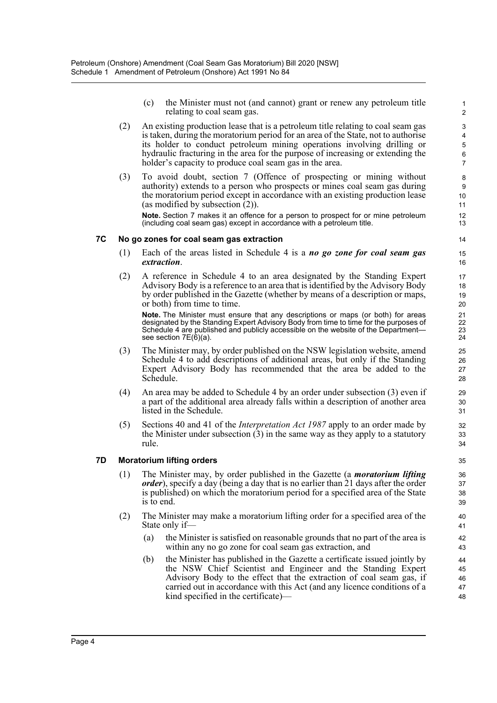(c) the Minister must not (and cannot) grant or renew any petroleum title relating to coal seam gas.

- (2) An existing production lease that is a petroleum title relating to coal seam gas is taken, during the moratorium period for an area of the State, not to authorise its holder to conduct petroleum mining operations involving drilling or hydraulic fracturing in the area for the purpose of increasing or extending the holder's capacity to produce coal seam gas in the area.
- (3) To avoid doubt, section 7 (Offence of prospecting or mining without authority) extends to a person who prospects or mines coal seam gas during the moratorium period except in accordance with an existing production lease (as modified by subsection  $(2)$ ).

**Note.** Section 7 makes it an offence for a person to prospect for or mine petroleum (including coal seam gas) except in accordance with a petroleum title.

#### **7C No go zones for coal seam gas extraction**

- (1) Each of the areas listed in Schedule 4 is a *no go zone for coal seam gas extraction*.
- (2) A reference in Schedule 4 to an area designated by the Standing Expert Advisory Body is a reference to an area that is identified by the Advisory Body by order published in the Gazette (whether by means of a description or maps, or both) from time to time.

**Note.** The Minister must ensure that any descriptions or maps (or both) for areas designated by the Standing Expert Advisory Body from time to time for the purposes of Schedule 4 are published and publicly accessible on the website of the Department see section 7E(6)(a).

- (3) The Minister may, by order published on the NSW legislation website, amend Schedule 4 to add descriptions of additional areas, but only if the Standing Expert Advisory Body has recommended that the area be added to the Schedule.
- (4) An area may be added to Schedule 4 by an order under subsection (3) even if a part of the additional area already falls within a description of another area listed in the Schedule.
- (5) Sections 40 and 41 of the *Interpretation Act 1987* apply to an order made by the Minister under subsection  $(3)$  in the same way as they apply to a statutory rule.

### **7D Moratorium lifting orders**

- (1) The Minister may, by order published in the Gazette (a *moratorium lifting order*), specify a day (being a day that is no earlier than 21 days after the order is published) on which the moratorium period for a specified area of the State is to end.
- (2) The Minister may make a moratorium lifting order for a specified area of the State only if—
	- (a) the Minister is satisfied on reasonable grounds that no part of the area is within any no go zone for coal seam gas extraction, and
	- (b) the Minister has published in the Gazette a certificate issued jointly by the NSW Chief Scientist and Engineer and the Standing Expert Advisory Body to the effect that the extraction of coal seam gas, if carried out in accordance with this Act (and any licence conditions of a kind specified in the certificate)—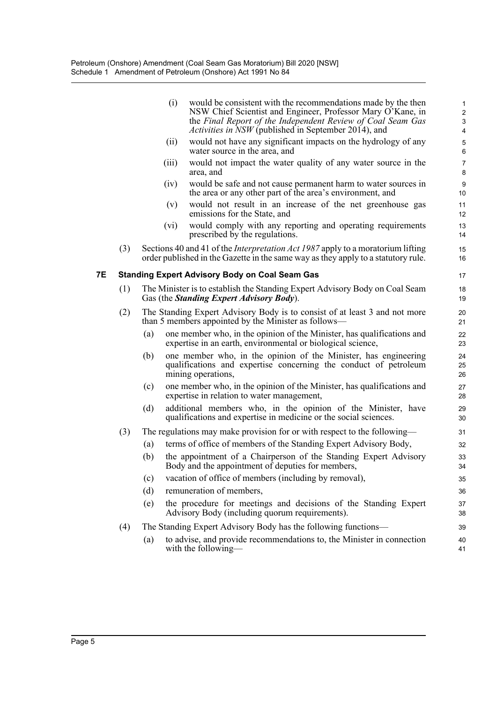|    |     | (i)   | would be consistent with the recommendations made by the then<br>NSW Chief Scientist and Engineer, Professor Mary O'Kane, in<br>the Final Report of the Independent Review of Coal Seam Gas<br><i>Activities in NSW</i> (published in September 2014), and | 1<br>$\overline{\mathbf{c}}$<br>3<br>4 |
|----|-----|-------|------------------------------------------------------------------------------------------------------------------------------------------------------------------------------------------------------------------------------------------------------------|----------------------------------------|
|    |     | (ii)  | would not have any significant impacts on the hydrology of any<br>water source in the area, and                                                                                                                                                            | 5<br>6                                 |
|    |     | (iii) | would not impact the water quality of any water source in the<br>area, and                                                                                                                                                                                 | 7<br>8                                 |
|    |     | (iv)  | would be safe and not cause permanent harm to water sources in<br>the area or any other part of the area's environment, and                                                                                                                                | 9<br>10                                |
|    |     | (v)   | would not result in an increase of the net greenhouse gas<br>emissions for the State, and                                                                                                                                                                  | 11<br>12                               |
|    |     | (vi)  | would comply with any reporting and operating requirements<br>prescribed by the regulations.                                                                                                                                                               | 13<br>14                               |
|    | (3) |       | Sections 40 and 41 of the <i>Interpretation Act 1987</i> apply to a moratorium lifting<br>order published in the Gazette in the same way as they apply to a statutory rule.                                                                                | 15<br>16                               |
| 7Е |     |       | <b>Standing Expert Advisory Body on Coal Seam Gas</b>                                                                                                                                                                                                      | 17                                     |
|    | (1) |       | The Minister is to establish the Standing Expert Advisory Body on Coal Seam<br>Gas (the <i>Standing Expert Advisory Body</i> ).                                                                                                                            | 18<br>19                               |
|    | (2) |       | The Standing Expert Advisory Body is to consist of at least 3 and not more<br>than 5 members appointed by the Minister as follows—                                                                                                                         | 20<br>21                               |
|    |     | (a)   | one member who, in the opinion of the Minister, has qualifications and<br>expertise in an earth, environmental or biological science,                                                                                                                      | 22<br>23                               |
|    |     | (b)   | one member who, in the opinion of the Minister, has engineering<br>qualifications and expertise concerning the conduct of petroleum<br>mining operations,                                                                                                  | 24<br>25<br>26                         |
|    |     | (c)   | one member who, in the opinion of the Minister, has qualifications and<br>expertise in relation to water management,                                                                                                                                       | 27<br>28                               |
|    |     | (d)   | additional members who, in the opinion of the Minister, have<br>qualifications and expertise in medicine or the social sciences.                                                                                                                           | 29<br>30                               |
|    | (3) |       | The regulations may make provision for or with respect to the following—                                                                                                                                                                                   | 31                                     |
|    |     | (a)   | terms of office of members of the Standing Expert Advisory Body,                                                                                                                                                                                           | 32                                     |
|    |     | (b)   | the appointment of a Chairperson of the Standing Expert Advisory<br>Body and the appointment of deputies for members,                                                                                                                                      | 33<br>34                               |
|    |     | (c)   | vacation of office of members (including by removal),                                                                                                                                                                                                      | 35                                     |
|    |     | (d)   | remuneration of members,                                                                                                                                                                                                                                   | 36                                     |
|    |     | (e)   | the procedure for meetings and decisions of the Standing Expert<br>Advisory Body (including quorum requirements).                                                                                                                                          | 37<br>38                               |
|    | (4) |       | The Standing Expert Advisory Body has the following functions—                                                                                                                                                                                             | 39                                     |
|    |     | (a)   | to advise, and provide recommendations to, the Minister in connection<br>with the following—                                                                                                                                                               | 40<br>41                               |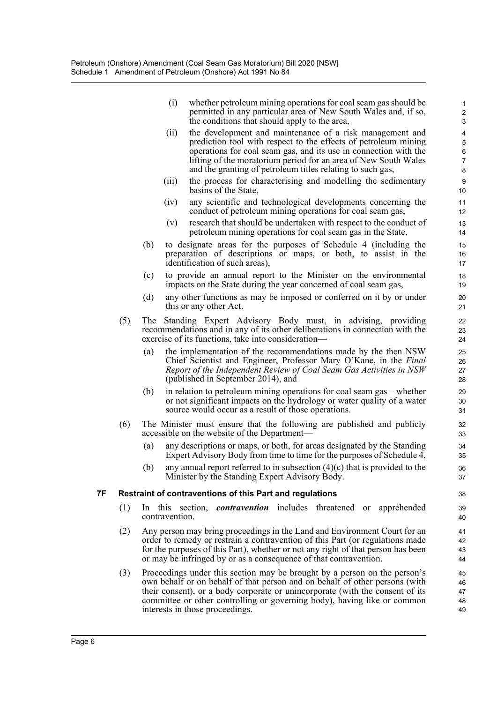| (i) | whether petroleum mining operations for coal seam gas should be |
|-----|-----------------------------------------------------------------|
|     | permitted in any particular area of New South Wales and, if so, |
|     | the conditions that should apply to the area,                   |

- (ii) the development and maintenance of a risk management and prediction tool with respect to the effects of petroleum mining operations for coal seam gas, and its use in connection with the lifting of the moratorium period for an area of New South Wales and the granting of petroleum titles relating to such gas,
- (iii) the process for characterising and modelling the sedimentary basins of the State,
- (iv) any scientific and technological developments concerning the conduct of petroleum mining operations for coal seam gas,
- (v) research that should be undertaken with respect to the conduct of petroleum mining operations for coal seam gas in the State,
- (b) to designate areas for the purposes of Schedule 4 (including the preparation of descriptions or maps, or both, to assist in the identification of such areas),
- (c) to provide an annual report to the Minister on the environmental impacts on the State during the year concerned of coal seam gas,
- (d) any other functions as may be imposed or conferred on it by or under this or any other Act.
- (5) The Standing Expert Advisory Body must, in advising, providing recommendations and in any of its other deliberations in connection with the exercise of its functions, take into consideration—
	- (a) the implementation of the recommendations made by the then NSW Chief Scientist and Engineer, Professor Mary O'Kane, in the *Final Report of the Independent Review of Coal Seam Gas Activities in NSW* (published in September 2014), and
	- (b) in relation to petroleum mining operations for coal seam gas—whether or not significant impacts on the hydrology or water quality of a water source would occur as a result of those operations.
- (6) The Minister must ensure that the following are published and publicly accessible on the website of the Department—
	- (a) any descriptions or maps, or both, for areas designated by the Standing Expert Advisory Body from time to time for the purposes of Schedule 4,
	- (b) any annual report referred to in subsection  $(4)(c)$  that is provided to the Minister by the Standing Expert Advisory Body.

### **7F Restraint of contraventions of this Part and regulations**

- (1) In this section, *contravention* includes threatened or apprehended contravention.
- (2) Any person may bring proceedings in the Land and Environment Court for an order to remedy or restrain a contravention of this Part (or regulations made for the purposes of this Part), whether or not any right of that person has been or may be infringed by or as a consequence of that contravention.
- (3) Proceedings under this section may be brought by a person on the person's own behalf or on behalf of that person and on behalf of other persons (with their consent), or a body corporate or unincorporate (with the consent of its committee or other controlling or governing body), having like or common interests in those proceedings. 45 46 47 48 49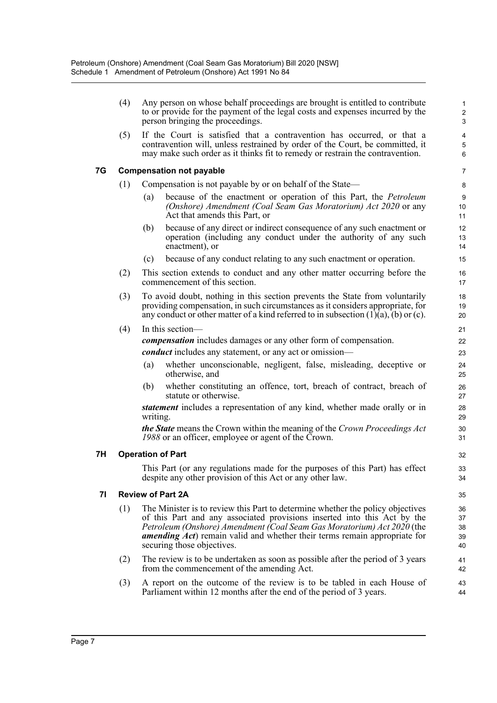|    | (4) | Any person on whose behalf proceedings are brought is entitled to contribute<br>to or provide for the payment of the legal costs and expenses incurred by the<br>person bringing the proceedings.                                                                                                                                               | 1<br>$\overline{2}$<br>3     |
|----|-----|-------------------------------------------------------------------------------------------------------------------------------------------------------------------------------------------------------------------------------------------------------------------------------------------------------------------------------------------------|------------------------------|
|    | (5) | If the Court is satisfied that a contravention has occurred, or that a<br>contravention will, unless restrained by order of the Court, be committed, it<br>may make such order as it thinks fit to remedy or restrain the contravention.                                                                                                        | $\overline{4}$<br>5<br>6     |
| 7G |     | <b>Compensation not payable</b>                                                                                                                                                                                                                                                                                                                 | $\overline{7}$               |
|    | (1) | Compensation is not payable by or on behalf of the State—                                                                                                                                                                                                                                                                                       | 8                            |
|    |     | because of the enactment or operation of this Part, the Petroleum<br>(a)<br>(Onshore) Amendment (Coal Seam Gas Moratorium) Act 2020 or any<br>Act that amends this Part, or                                                                                                                                                                     | $\boldsymbol{9}$<br>10<br>11 |
|    |     | because of any direct or indirect consequence of any such enactment or<br>(b)<br>operation (including any conduct under the authority of any such<br>enactment), or                                                                                                                                                                             | 12<br>13<br>14               |
|    |     | because of any conduct relating to any such enactment or operation.<br>(c)                                                                                                                                                                                                                                                                      | 15                           |
|    | (2) | This section extends to conduct and any other matter occurring before the<br>commencement of this section.                                                                                                                                                                                                                                      | 16<br>17                     |
|    | (3) | To avoid doubt, nothing in this section prevents the State from voluntarily<br>providing compensation, in such circumstances as it considers appropriate, for<br>any conduct or other matter of a kind referred to in subsection $(1)(a)$ , $(b)$ or $(c)$ .                                                                                    | 18<br>19<br>20               |
|    | (4) | In this section-                                                                                                                                                                                                                                                                                                                                | 21                           |
|    |     | <i>compensation</i> includes damages or any other form of compensation.                                                                                                                                                                                                                                                                         | 22                           |
|    |     | <i>conduct</i> includes any statement, or any act or omission—                                                                                                                                                                                                                                                                                  | 23                           |
|    |     | whether unconscionable, negligent, false, misleading, deceptive or<br>(a)<br>otherwise, and                                                                                                                                                                                                                                                     | 24<br>25                     |
|    |     | whether constituting an offence, tort, breach of contract, breach of<br>(b)<br>statute or otherwise.                                                                                                                                                                                                                                            | 26<br>27                     |
|    |     | <i>statement</i> includes a representation of any kind, whether made orally or in<br>writing.                                                                                                                                                                                                                                                   | 28<br>29                     |
|    |     | <b>the State</b> means the Crown within the meaning of the Crown Proceedings Act<br>1988 or an officer, employee or agent of the Crown.                                                                                                                                                                                                         | 30<br>31                     |
| 7H |     | <b>Operation of Part</b>                                                                                                                                                                                                                                                                                                                        | 32                           |
|    |     | This Part (or any regulations made for the purposes of this Part) has effect<br>despite any other provision of this Act or any other law.                                                                                                                                                                                                       | 33<br>34                     |
| 71 |     | <b>Review of Part 2A</b>                                                                                                                                                                                                                                                                                                                        | 35                           |
|    | (1) | The Minister is to review this Part to determine whether the policy objectives<br>of this Part and any associated provisions inserted into this Act by the<br>Petroleum (Onshore) Amendment (Coal Seam Gas Moratorium) Act 2020 (the<br>amending Act) remain valid and whether their terms remain appropriate for<br>securing those objectives. | 36<br>37<br>38<br>39<br>40   |
|    | (2) | The review is to be undertaken as soon as possible after the period of 3 years<br>from the commencement of the amending Act.                                                                                                                                                                                                                    | 41<br>42                     |
|    | (3) | A report on the outcome of the review is to be tabled in each House of<br>Parliament within 12 months after the end of the period of 3 years.                                                                                                                                                                                                   | 43<br>44                     |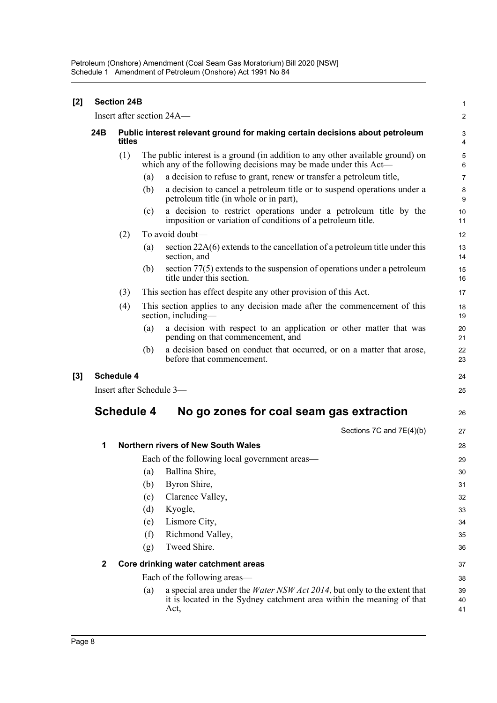| $[2]$ |                           | <b>Section 24B</b> |                                                                                                                                                                          | 1              |
|-------|---------------------------|--------------------|--------------------------------------------------------------------------------------------------------------------------------------------------------------------------|----------------|
|       | Insert after section 24A- |                    |                                                                                                                                                                          |                |
|       | 24B                       | titles             | Public interest relevant ground for making certain decisions about petroleum                                                                                             | 3<br>4         |
|       |                           | (1)                | The public interest is a ground (in addition to any other available ground) on<br>which any of the following decisions may be made under this Act—                       | 5<br>6         |
|       |                           |                    | a decision to refuse to grant, renew or transfer a petroleum title,<br>(a)                                                                                               | 7              |
|       |                           |                    | a decision to cancel a petroleum title or to suspend operations under a<br>(b)<br>petroleum title (in whole or in part),                                                 | 8<br>9         |
|       |                           |                    | a decision to restrict operations under a petroleum title by the<br>(c)<br>imposition or variation of conditions of a petroleum title.                                   | 10<br>11       |
|       |                           | (2)                | To avoid doubt—                                                                                                                                                          | 12             |
|       |                           |                    | section $22A(6)$ extends to the cancellation of a petroleum title under this<br>(a)<br>section, and                                                                      | 13<br>14       |
|       |                           |                    | section $77(5)$ extends to the suspension of operations under a petroleum<br>(b)<br>title under this section.                                                            | 15<br>16       |
|       |                           | (3)                | This section has effect despite any other provision of this Act.                                                                                                         | 17             |
|       |                           | (4)                | This section applies to any decision made after the commencement of this<br>section, including-                                                                          | 18<br>19       |
|       |                           |                    | a decision with respect to an application or other matter that was<br>(a)<br>pending on that commencement, and                                                           | 20<br>21       |
|       |                           |                    | a decision based on conduct that occurred, or on a matter that arose,<br>(b)<br>before that commencement.                                                                | 22<br>23       |
| $[3]$ |                           | <b>Schedule 4</b>  |                                                                                                                                                                          | 24             |
|       |                           |                    | Insert after Schedule 3-                                                                                                                                                 | 25             |
|       | <b>Schedule 4</b>         |                    | No go zones for coal seam gas extraction                                                                                                                                 | 26             |
|       |                           |                    | Sections 7C and 7E(4)(b)                                                                                                                                                 | 27             |
|       | 1                         |                    | <b>Northern rivers of New South Wales</b>                                                                                                                                | 28             |
|       |                           |                    | Each of the following local government areas—                                                                                                                            | 29             |
|       |                           |                    | Ballina Shire,<br>(a)                                                                                                                                                    | 30             |
|       |                           |                    | Byron Shire,<br>(b)                                                                                                                                                      | 31             |
|       |                           |                    | Clarence Valley,<br>(c)                                                                                                                                                  | 32             |
|       |                           |                    | (d)<br>Kyogle,                                                                                                                                                           | 33             |
|       |                           |                    | Lismore City,<br>(e)                                                                                                                                                     | 34             |
|       |                           |                    | Richmond Valley,<br>(f)                                                                                                                                                  | 35             |
|       |                           |                    | Tweed Shire.<br>(g)                                                                                                                                                      | 36             |
|       | $\mathbf{2}$              |                    | Core drinking water catchment areas                                                                                                                                      | 37             |
|       |                           |                    | Each of the following areas—                                                                                                                                             | 38             |
|       |                           |                    | a special area under the <i>Water NSW Act 2014</i> , but only to the extent that<br>(a)<br>it is located in the Sydney catchment area within the meaning of that<br>Act, | 39<br>40<br>41 |